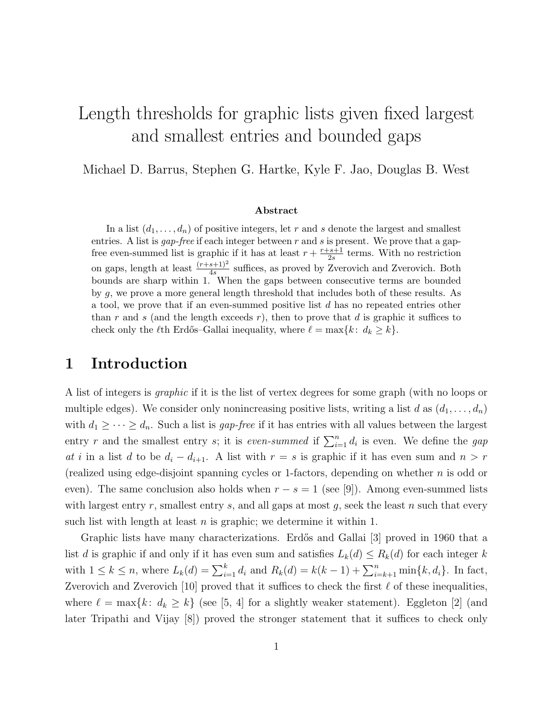# Length thresholds for graphic lists given fixed largest and smallest entries and bounded gaps

Michael D. Barrus, Stephen G. Hartke, Kyle F. Jao, Douglas B. West

#### Abstract

In a list  $(d_1, \ldots, d_n)$  of positive integers, let r and s denote the largest and smallest entries. A list is *gap-free* if each integer between  $r$  and  $s$  is present. We prove that a gapfree even-summed list is graphic if it has at least  $r + \frac{r+s+1}{2s}$  $\frac{2s+1}{2s}$  terms. With no restriction on gaps, length at least  $\frac{(r+s+1)^2}{4s}$  suffices, as proved by Zverovich and Zverovich. Both bounds are sharp within 1. When the gaps between consecutive terms are bounded by g, we prove a more general length threshold that includes both of these results. As a tool, we prove that if an even-summed positive list d has no repeated entries other than r and s (and the length exceeds  $r$ ), then to prove that d is graphic it suffices to check only the  $\ell$ th Erdős–Gallai inequality, where  $\ell = \max\{k: d_k \geq k\}.$ 

#### 1 Introduction

A list of integers is graphic if it is the list of vertex degrees for some graph (with no loops or multiple edges). We consider only nonincreasing positive lists, writing a list d as  $(d_1, \ldots, d_n)$ with  $d_1 \geq \cdots \geq d_n$ . Such a list is *gap-free* if it has entries with all values between the largest entry r and the smallest entry s; it is *even-summed* if  $\sum_{i=1}^{n} d_i$  is even. We define the gap at i in a list d to be  $d_i - d_{i+1}$ . A list with  $r = s$  is graphic if it has even sum and  $n > r$ (realized using edge-disjoint spanning cycles or 1-factors, depending on whether  $n$  is odd or even). The same conclusion also holds when  $r - s = 1$  (see [9]). Among even-summed lists with largest entry r, smallest entry s, and all gaps at most  $g$ , seek the least  $n$  such that every such list with length at least  $n$  is graphic; we determine it within 1.

Graphic lists have many characterizations. Erdős and Gallai [3] proved in 1960 that a list d is graphic if and only if it has even sum and satisfies  $L_k(d) \le R_k(d)$  for each integer k with  $1 \le k \le n$ , where  $L_k(d) = \sum_{i=1}^k d_i$  and  $R_k(d) = k(k-1) + \sum_{i=k+1}^n \min\{k, d_i\}$ . In fact, Zverovich and Zverovich [10] proved that it suffices to check the first  $\ell$  of these inequalities. where  $\ell = \max\{k: d_k \geq k\}$  (see [5, 4] for a slightly weaker statement). Eggleton [2] (and later Tripathi and Vijay [8]) proved the stronger statement that it suffices to check only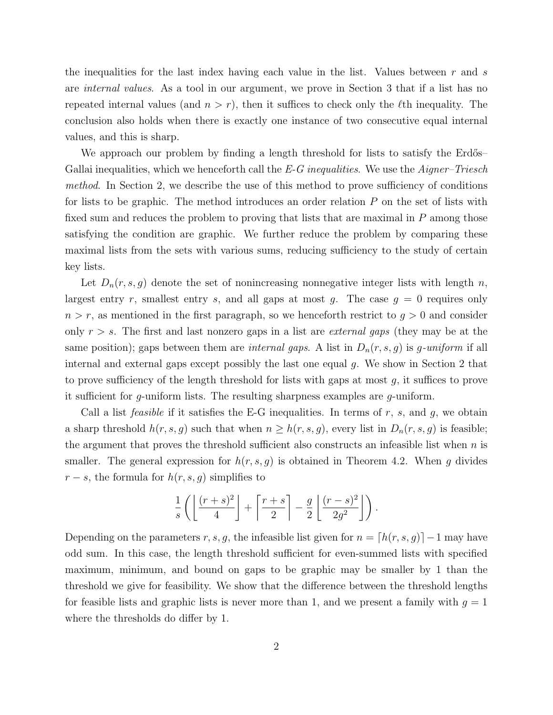the inequalities for the last index having each value in the list. Values between  $r$  and  $s$ are internal values. As a tool in our argument, we prove in Section 3 that if a list has no repeated internal values (and  $n > r$ ), then it suffices to check only the  $\ell$ th inequality. The conclusion also holds when there is exactly one instance of two consecutive equal internal values, and this is sharp.

We approach our problem by finding a length threshold for lists to satisfy the Erdős– Gallai inequalities, which we henceforth call the  $E-G$  inequalities. We use the  $Aigner-Triesch$ method. In Section 2, we describe the use of this method to prove sufficiency of conditions for lists to be graphic. The method introduces an order relation P on the set of lists with fixed sum and reduces the problem to proving that lists that are maximal in P among those satisfying the condition are graphic. We further reduce the problem by comparing these maximal lists from the sets with various sums, reducing sufficiency to the study of certain key lists.

Let  $D_n(r,s,g)$  denote the set of nonincreasing nonnegative integer lists with length n, largest entry r, smallest entry s, and all gaps at most g. The case  $g = 0$  requires only  $n > r$ , as mentioned in the first paragraph, so we henceforth restrict to  $g > 0$  and consider only  $r > s$ . The first and last nonzero gaps in a list are *external gaps* (they may be at the same position); gaps between them are *internal gaps*. A list in  $D_n(r,s,g)$  is g-uniform if all internal and external gaps except possibly the last one equal  $q$ . We show in Section 2 that to prove sufficiency of the length threshold for lists with gaps at most  $g$ , it suffices to prove it sufficient for g-uniform lists. The resulting sharpness examples are g-uniform.

Call a list *feasible* if it satisfies the E-G inequalities. In terms of r, s, and g, we obtain a sharp threshold  $h(r,s,g)$  such that when  $n \geq h(r,s,g)$ , every list in  $D_n(r,s,g)$  is feasible; the argument that proves the threshold sufficient also constructs an infeasible list when  $n$  is smaller. The general expression for  $h(r,s,g)$  is obtained in Theorem 4.2. When g divides  $r - s$ , the formula for  $h(r, s, g)$  simplifies to

$$
\frac{1}{s}\left(\left\lfloor\frac{(r+s)^2}{4}\right\rfloor+\left\lceil\frac{r+s}{2}\right\rceil-\frac{g}{2}\left\lfloor\frac{(r-s)^2}{2g^2}\right\rfloor\right).
$$

Depending on the parameters r, s, g, the infeasible list given for  $n = [h(r, s, g)] - 1$  may have odd sum. In this case, the length threshold sufficient for even-summed lists with specified maximum, minimum, and bound on gaps to be graphic may be smaller by 1 than the threshold we give for feasibility. We show that the difference between the threshold lengths for feasible lists and graphic lists is never more than 1, and we present a family with  $g = 1$ where the thresholds do differ by 1.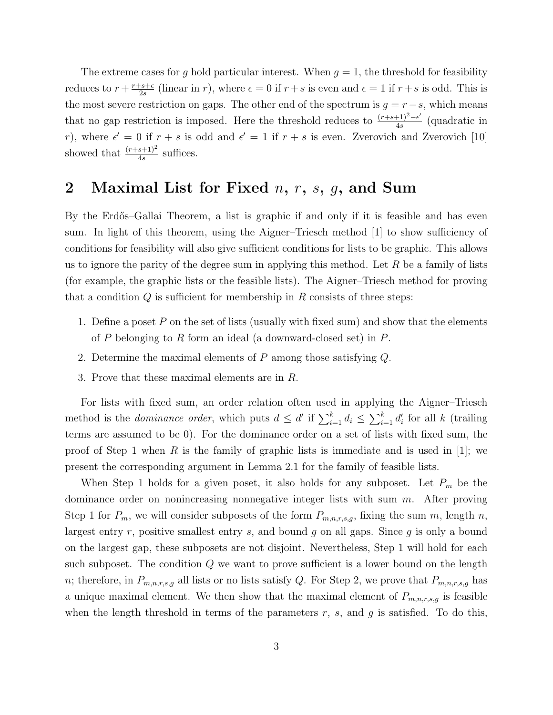The extreme cases for g hold particular interest. When  $g = 1$ , the threshold for feasibility reduces to  $r + \frac{r+s+\epsilon}{2s}$  $\frac{2s+\epsilon}{2s}$  (linear in r), where  $\epsilon = 0$  if  $r + s$  is even and  $\epsilon = 1$  if  $r + s$  is odd. This is the most severe restriction on gaps. The other end of the spectrum is  $g = r - s$ , which means that no gap restriction is imposed. Here the threshold reduces to  $\frac{(r+s+1)^2-\epsilon'}{4s}$  $\frac{(+1)^{2-\epsilon}}{4s}$  (quadratic in r), where  $\epsilon' = 0$  if  $r + s$  is odd and  $\epsilon' = 1$  if  $r + s$  is even. Zverovich and Zverovich [10] showed that  $\frac{(r+s+1)^2}{4s}$  suffices.

### 2 Maximal List for Fixed  $n, r, s, g$ , and Sum

By the Erdős–Gallai Theorem, a list is graphic if and only if it is feasible and has even sum. In light of this theorem, using the Aigner–Triesch method [1] to show sufficiency of conditions for feasibility will also give sufficient conditions for lists to be graphic. This allows us to ignore the parity of the degree sum in applying this method. Let  $R$  be a family of lists (for example, the graphic lists or the feasible lists). The Aigner–Triesch method for proving that a condition  $Q$  is sufficient for membership in  $R$  consists of three steps:

- 1. Define a poset  $P$  on the set of lists (usually with fixed sum) and show that the elements of P belonging to R form an ideal (a downward-closed set) in  $P$ .
- 2. Determine the maximal elements of P among those satisfying Q.
- 3. Prove that these maximal elements are in R.

For lists with fixed sum, an order relation often used in applying the Aigner–Triesch method is the *dominance order*, which puts  $d \leq d'$  if  $\sum_{i=1}^{k} d_i \leq \sum_{i=1}^{k} d'_i$  for all k (trailing terms are assumed to be 0). For the dominance order on a set of lists with fixed sum, the proof of Step 1 when R is the family of graphic lists is immediate and is used in [1]; we present the corresponding argument in Lemma 2.1 for the family of feasible lists.

When Step 1 holds for a given poset, it also holds for any subposet. Let  $P_m$  be the dominance order on nonincreasing nonnegative integer lists with sum  $m$ . After proving Step 1 for  $P_m$ , we will consider subposets of the form  $P_{m,n,r,s,g}$ , fixing the sum m, length n, largest entry r, positive smallest entry s, and bound q on all gaps. Since  $q$  is only a bound on the largest gap, these subposets are not disjoint. Nevertheless, Step 1 will hold for each such subposet. The condition  $Q$  we want to prove sufficient is a lower bound on the length n; therefore, in  $P_{m,n,r,s,g}$  all lists or no lists satisfy Q. For Step 2, we prove that  $P_{m,n,r,s,g}$  has a unique maximal element. We then show that the maximal element of  $P_{m,n,r,s,g}$  is feasible when the length threshold in terms of the parameters  $r$ ,  $s$ , and  $g$  is satisfied. To do this,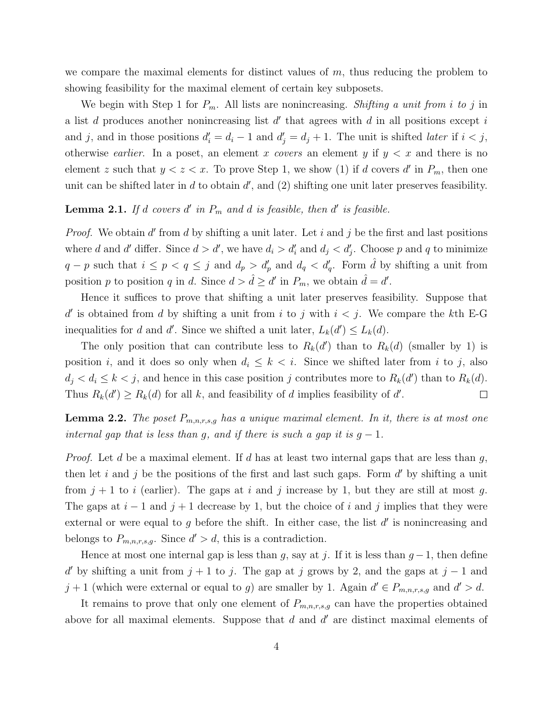we compare the maximal elements for distinct values of  $m$ , thus reducing the problem to showing feasibility for the maximal element of certain key subposets.

We begin with Step 1 for  $P_m$ . All lists are nonincreasing. Shifting a unit from i to j in a list  $d$  produces another nonincreasing list  $d'$  that agrees with  $d$  in all positions except  $i$ and j, and in those positions  $d'_i = d_i - 1$  and  $d'_j = d_j + 1$ . The unit is shifted *later* if  $i < j$ , otherwise *earlier*. In a poset, an element x covers an element y if  $y < x$  and there is no element z such that  $y < z < x$ . To prove Step 1, we show (1) if d covers d' in  $P_m$ , then one unit can be shifted later in  $d$  to obtain  $d'$ , and  $(2)$  shifting one unit later preserves feasibility.

#### **Lemma 2.1.** If d covers d' in  $P_m$  and d is feasible, then d' is feasible.

*Proof.* We obtain  $d'$  from  $d$  by shifting a unit later. Let  $i$  and  $j$  be the first and last positions where d and d' differ. Since  $d > d'$ , we have  $d_i > d'_i$  and  $d_j < d'_j$ . Choose p and q to minimize  $q - p$  such that  $i \leq p < q \leq j$  and  $d_p > d'_p$  and  $d_q < d'_q$ . Form  $\hat{d}$  by shifting a unit from position p to position q in d. Since  $d > \hat{d} \ge d'$  in  $P_m$ , we obtain  $\hat{d} = d'$ .

Hence it suffices to prove that shifting a unit later preserves feasibility. Suppose that d' is obtained from d by shifting a unit from i to j with  $i < j$ . We compare the kth E-G inequalities for d and d'. Since we shifted a unit later,  $L_k(d') \leq L_k(d)$ .

The only position that can contribute less to  $R_k(d')$  than to  $R_k(d)$  (smaller by 1) is position i, and it does so only when  $d_i \leq k < i$ . Since we shifted later from i to j, also  $d_j < d_i \leq k < j$ , and hence in this case position j contributes more to  $R_k(d')$  than to  $R_k(d)$ . Thus  $R_k(d') \ge R_k(d)$  for all k, and feasibility of d implies feasibility of d'.  $\Box$ 

**Lemma 2.2.** The poset  $P_{m,n,r,s,g}$  has a unique maximal element. In it, there is at most one internal gap that is less than g, and if there is such a gap it is  $g - 1$ .

*Proof.* Let d be a maximal element. If d has at least two internal gaps that are less than  $g$ , then let i and j be the positions of the first and last such gaps. Form  $d'$  by shifting a unit from  $j + 1$  to i (earlier). The gaps at i and j increase by 1, but they are still at most g. The gaps at  $i - 1$  and  $j + 1$  decrease by 1, but the choice of i and j implies that they were external or were equal to  $g$  before the shift. In either case, the list  $d'$  is nonincreasing and belongs to  $P_{m,n,r,s,g}$ . Since  $d' > d$ , this is a contradiction.

Hence at most one internal gap is less than g, say at j. If it is less than  $g-1$ , then define d' by shifting a unit from  $j + 1$  to j. The gap at j grows by 2, and the gaps at  $j - 1$  and  $j+1$  (which were external or equal to g) are smaller by 1. Again  $d' \in P_{m,n,r,s,g}$  and  $d' > d$ .

It remains to prove that only one element of  $P_{m,n,r,s,g}$  can have the properties obtained above for all maximal elements. Suppose that  $d$  and  $d'$  are distinct maximal elements of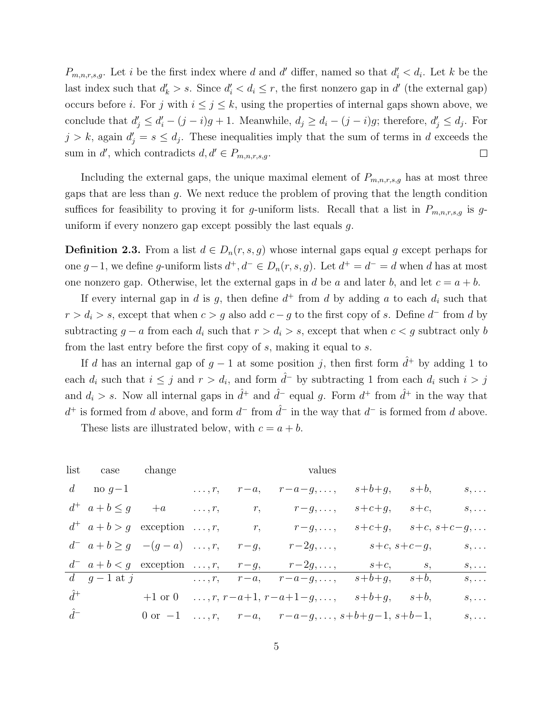$P_{m,n,r,s,g}$ . Let i be the first index where d and d' differ, named so that  $d_i' < d_i$ . Let k be the last index such that  $d'_k > s$ . Since  $d'_i < d_i \leq r$ , the first nonzero gap in  $d'$  (the external gap) occurs before *i*. For j with  $i \leq j \leq k$ , using the properties of internal gaps shown above, we conclude that  $d'_j \leq d'_i - (j - i)g + 1$ . Meanwhile,  $d_j \geq d_i - (j - i)g$ ; therefore,  $d'_j \leq d_j$ . For  $j > k$ , again  $d'_j = s \leq d_j$ . These inequalities imply that the sum of terms in d exceeds the sum in d', which contradicts  $d, d' \in P_{m,n,r,s,g}$ .  $\Box$ 

Including the external gaps, the unique maximal element of  $P_{m,n,r,s,g}$  has at most three gaps that are less than g. We next reduce the problem of proving that the length condition suffices for feasibility to proving it for g-uniform lists. Recall that a list in  $P_{m,n,r,s,g}$  is guniform if every nonzero gap except possibly the last equals g.

**Definition 2.3.** From a list  $d \in D_n(r, s, g)$  whose internal gaps equal g except perhaps for one g − 1, we define g-uniform lists  $d^+, d^- \in D_n(r, s, g)$ . Let  $d^+ = d^- = d$  when d has at most one nonzero gap. Otherwise, let the external gaps in d be a and later b, and let  $c = a + b$ .

If every internal gap in d is g, then define  $d^+$  from d by adding a to each  $d_i$  such that  $r > d_i > s$ , except that when  $c > g$  also add  $c - g$  to the first copy of s. Define  $d^-$  from d by subtracting  $g - a$  from each  $d_i$  such that  $r > d_i > s$ , except that when  $c < g$  subtract only b from the last entry before the first copy of s, making it equal to s.

If d has an internal gap of  $g-1$  at some position j, then first form  $\hat{d}^+$  by adding 1 to each  $d_i$  such that  $i \leq j$  and  $r > d_i$ , and form  $\hat{d}$ <sup>-</sup> by subtracting 1 from each  $d_i$  such  $i > j$ and  $d_i > s$ . Now all internal gaps in  $\hat{d}^+$  and  $\hat{d}^-$  equal g. Form  $d^+$  from  $\hat{d}^+$  in the way that  $d^+$  is formed from d above, and form  $d^-$  from  $\hat{d}^-$  in the way that  $d^-$  is formed from d above.

These lists are illustrated below, with  $c = a + b$ .

| list  | case             | change                                                                  | values                                                     |                                            |                                      |
|-------|------------------|-------------------------------------------------------------------------|------------------------------------------------------------|--------------------------------------------|--------------------------------------|
| $d$   | $\text{no } g-1$ | $\ldots, r$                                                             | $r-a$                                                      | $r-a-g, \ldots, s+b+g, s+b, s, \ldots$     |                                      |
| $d^+$ | $a+b \leq g$     | $+a$                                                                    | $\ldots, r$                                                | $r$                                        | $r-g, \ldots, s+c+g, s+c, s, \ldots$ |
| $d^+$ | $a+b > g$        | $\text{exception } \ldots, r$                                           | $r$                                                        | $r-g, \ldots, s+c+g, s+c, s+c-g, \ldots$   |                                      |
| $d^-$ | $a+b \geq g$     | $-(g-a)$                                                                | $\ldots, r$                                                | $r-g, r-2g, \ldots, s+c, s+c-g, s, \ldots$ |                                      |
| $d^-$ | $a+b < g$        | $\text{exception } \ldots, r, r-g, r-2g, \ldots, s+b+g, s+b, s, \ldots$ |                                                            |                                            |                                      |
| $d^+$ | $g-1$            | $\ldots, r, r-a, r-a-g, \ldots, s+b+g, s+b, s, \ldots$                  |                                                            |                                            |                                      |
| $d^+$ | $h$              | $0$                                                                     | $\ldots, r, r-a, r-a-g, \ldots, s+b+g-1, s+b-1, s, \ldots$ |                                            |                                      |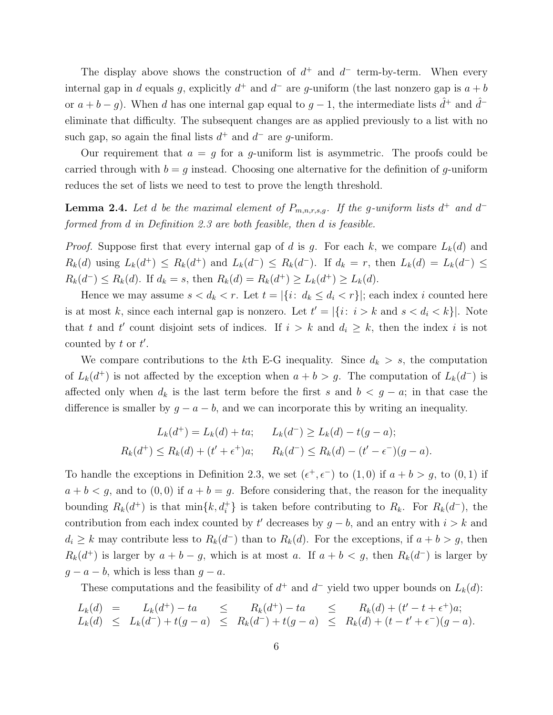The display above shows the construction of  $d^+$  and  $d^-$  term-by-term. When every internal gap in d equals g, explicitly  $d^+$  and  $d^-$  are g-uniform (the last nonzero gap is  $a + b$ or  $a + b - g$ ). When d has one internal gap equal to  $g - 1$ , the intermediate lists  $\hat{d}^+$  and  $\hat{d}^$ eliminate that difficulty. The subsequent changes are as applied previously to a list with no such gap, so again the final lists  $d^+$  and  $d^-$  are g-uniform.

Our requirement that  $a = g$  for a g-uniform list is asymmetric. The proofs could be carried through with  $b = q$  instead. Choosing one alternative for the definition of q-uniform reduces the set of lists we need to test to prove the length threshold.

**Lemma 2.4.** Let d be the maximal element of  $P_{m,n,r,s,g}$ . If the g-uniform lists  $d^+$  and  $d^$ formed from d in Definition 2.3 are both feasible, then d is feasible.

*Proof.* Suppose first that every internal gap of d is g. For each k, we compare  $L_k(d)$  and  $R_k(d)$  using  $L_k(d^+) \leq R_k(d^+)$  and  $L_k(d^-) \leq R_k(d^-)$ . If  $d_k = r$ , then  $L_k(d) = L_k(d^-) \leq$  $R_k(d^-) \le R_k(d)$ . If  $d_k = s$ , then  $R_k(d) = R_k(d^+) \ge L_k(d^+) \ge L_k(d)$ .

Hence we may assume  $s < d_k < r$ . Let  $t = |\{i : d_k \leq d_i < r\}|$ ; each index i counted here is at most k, since each internal gap is nonzero. Let  $t' = |\{i : i > k \text{ and } s < d_i < k\}|$ . Note that t and t' count disjoint sets of indices. If  $i > k$  and  $d_i \geq k$ , then the index i is not counted by  $t$  or  $t'$ .

We compare contributions to the kth E-G inequality. Since  $d_k > s$ , the computation of  $L_k(d^+)$  is not affected by the exception when  $a + b > g$ . The computation of  $L_k(d^-)$  is affected only when  $d_k$  is the last term before the first s and  $b < g - a$ ; in that case the difference is smaller by  $g - a - b$ , and we can incorporate this by writing an inequality.

$$
L_k(d^+) = L_k(d) + ta; \qquad L_k(d^-) \ge L_k(d) - t(g - a);
$$
  

$$
R_k(d^+) \le R_k(d) + (t' + \epsilon^+)a; \qquad R_k(d^-) \le R_k(d) - (t' - \epsilon^-)(g - a).
$$

To handle the exceptions in Definition 2.3, we set  $(\epsilon^+, \epsilon^-)$  to  $(1,0)$  if  $a + b > g$ , to  $(0,1)$  if  $a + b < g$ , and to  $(0, 0)$  if  $a + b = g$ . Before considering that, the reason for the inequality bounding  $R_k(d^+)$  is that  $\min\{k, d_i^+\}$  is taken before contributing to  $R_k$ . For  $R_k(d^-)$ , the contribution from each index counted by  $t'$  decreases by  $g - b$ , and an entry with  $i > k$  and  $d_i \geq k$  may contribute less to  $R_k(d^-)$  than to  $R_k(d)$ . For the exceptions, if  $a + b > g$ , then  $R_k(d^+)$  is larger by  $a + b - g$ , which is at most a. If  $a + b < g$ , then  $R_k(d^-)$  is larger by  $g - a - b$ , which is less than  $g - a$ .

These computations and the feasibility of  $d^+$  and  $d^-$  yield two upper bounds on  $L_k(d)$ :

$$
L_k(d) = L_k(d^+) - ta \leq R_k(d^+) - ta \leq R_k(d) + (t' - t + \epsilon^+)a;
$$
  
\n
$$
L_k(d) \leq L_k(d^-) + t(g - a) \leq R_k(d^-) + t(g - a) \leq R_k(d) + (t - t' + \epsilon^-)(g - a).
$$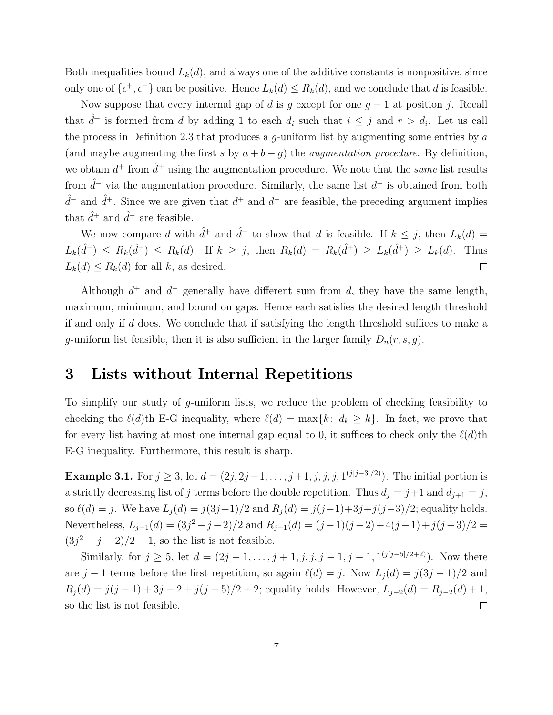Both inequalities bound  $L_k(d)$ , and always one of the additive constants is nonpositive, since only one of  $\{\epsilon^+, \epsilon^-\}$  can be positive. Hence  $L_k(d) \leq R_k(d)$ , and we conclude that d is feasible.

Now suppose that every internal gap of d is g except for one  $g - 1$  at position j. Recall that  $\hat{d}^+$  is formed from d by adding 1 to each  $d_i$  such that  $i \leq j$  and  $r > d_i$ . Let us call the process in Definition 2.3 that produces a  $g$ -uniform list by augmenting some entries by  $a$ (and maybe augmenting the first s by  $a + b - g$ ) the *augmentation procedure*. By definition, we obtain  $d^+$  from  $\hat{d}^+$  using the augmentation procedure. We note that the same list results from  $\hat{d}^-$  via the augmentation procedure. Similarly, the same list  $d^-$  is obtained from both  $\hat{d}^-$  and  $\hat{d}^+$ . Since we are given that  $d^+$  and  $d^-$  are feasible, the preceding argument implies that  $\hat{d}^+$  and  $\hat{d}^-$  are feasible.

We now compare d with  $\hat{d}^+$  and  $\hat{d}^-$  to show that d is feasible. If  $k \leq j$ , then  $L_k(d) =$  $L_k(\hat{d}^{-}) \leq R_k(\hat{d}^{-}) \leq R_k(d)$ . If  $k \geq j$ , then  $R_k(d) = R_k(\hat{d}^{+}) \geq L_k(\hat{d}^{+}) \geq L_k(d)$ . Thus  $L_k(d) \leq R_k(d)$  for all k, as desired.  $\Box$ 

Although  $d^+$  and  $d^-$  generally have different sum from d, they have the same length, maximum, minimum, and bound on gaps. Hence each satisfies the desired length threshold if and only if  $d$  does. We conclude that if satisfying the length threshold suffices to make a g-uniform list feasible, then it is also sufficient in the larger family  $D_n(r,s,g)$ .

#### 3 Lists without Internal Repetitions

To simplify our study of g-uniform lists, we reduce the problem of checking feasibility to checking the  $\ell(d)$ th E-G inequality, where  $\ell(d) = \max\{k: d_k \geq k\}$ . In fact, we prove that for every list having at most one internal gap equal to 0, it suffices to check only the  $\ell(d)$ th E-G inequality. Furthermore, this result is sharp.

**Example 3.1.** For  $j \ge 3$ , let  $d = (2j, 2j-1, \ldots, j+1, j, j, j, 1^{(j[j-3]/2)})$ . The initial portion is a strictly decreasing list of j terms before the double repetition. Thus  $d_j = j+1$  and  $d_{j+1} = j$ , so  $\ell(d) = j$ . We have  $L_j(d) = j(3j+1)/2$  and  $R_j(d) = j(j-1)+3j+j(j-3)/2$ ; equality holds. Nevertheless,  $L_{j-1}(d) = (3j^2 - j - 2)/2$  and  $R_{j-1}(d) = (j-1)(j-2) + 4(j-1) + j(j-3)/2 =$  $(3j^{2} - j - 2)/2 - 1$ , so the list is not feasible.

Similarly, for  $j \ge 5$ , let  $d = (2j - 1, \ldots, j + 1, j, j, j - 1, j - 1, 1^{(j[j-5]/2+2)})$ . Now there are j − 1 terms before the first repetition, so again  $\ell(d) = j$ . Now  $L_j(d) = j(3j - 1)/2$  and  $R_j(d) = j(j-1) + 3j - 2 + j(j-5)/2 + 2$ ; equality holds. However,  $L_{j-2}(d) = R_{j-2}(d) + 1$ ,  $\Box$ so the list is not feasible.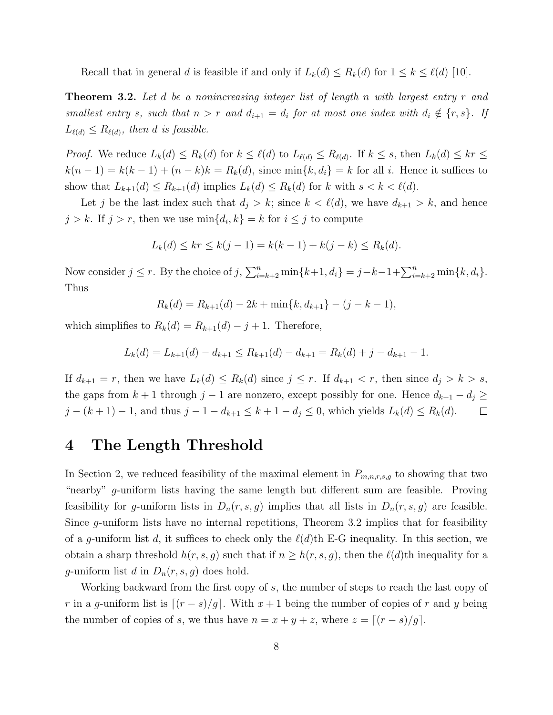Recall that in general d is feasible if and only if  $L_k(d) \le R_k(d)$  for  $1 \le k \le \ell(d)$  [10].

**Theorem 3.2.** Let d be a nonincreasing integer list of length n with largest entry r and smallest entry s, such that  $n > r$  and  $d_{i+1} = d_i$  for at most one index with  $d_i \notin \{r, s\}$ . If  $L_{\ell(d)} \leq R_{\ell(d)}$ , then d is feasible.

*Proof.* We reduce  $L_k(d) \le R_k(d)$  for  $k \le \ell(d)$  to  $L_{\ell(d)} \le R_{\ell(d)}$ . If  $k \le s$ , then  $L_k(d) \le kr \le$  $k(n-1) = k(k-1) + (n-k)k = R_k(d)$ , since  $\min\{k, d_i\} = k$  for all i. Hence it suffices to show that  $L_{k+1}(d) \leq R_{k+1}(d)$  implies  $L_k(d) \leq R_k(d)$  for k with  $s < k < \ell(d)$ .

Let j be the last index such that  $d_i > k$ ; since  $k < \ell(d)$ , we have  $d_{k+1} > k$ , and hence  $j > k$ . If  $j > r$ , then we use  $\min\{d_i, k\} = k$  for  $i \leq j$  to compute

$$
L_k(d) \le kr \le k(j-1) = k(k-1) + k(j-k) \le R_k(d).
$$

Now consider  $j \le r$ . By the choice of  $j$ ,  $\sum_{i=k+2}^{n} \min\{k+1, d_i\} = j - k - 1 + \sum_{i=k+2}^{n} \min\{k, d_i\}$ . Thus

$$
R_k(d) = R_{k+1}(d) - 2k + \min\{k, d_{k+1}\} - (j - k - 1),
$$

which simplifies to  $R_k(d) = R_{k+1}(d) - j + 1$ . Therefore,

 $L_k(d) = L_{k+1}(d) - d_{k+1} \leq R_{k+1}(d) - d_{k+1} = R_k(d) + j - d_{k+1} - 1.$ 

If  $d_{k+1} = r$ , then we have  $L_k(d) \le R_k(d)$  since  $j \le r$ . If  $d_{k+1} < r$ , then since  $d_j > k > s$ , the gaps from  $k + 1$  through  $j - 1$  are nonzero, except possibly for one. Hence  $d_{k+1} - d_j \ge$  $j - (k + 1) - 1$ , and thus  $j - 1 - d_{k+1} \le k + 1 - d_j \le 0$ , which yields  $L_k(d) \le R_k(d)$ .  $\Box$ 

# 4 The Length Threshold

In Section 2, we reduced feasibility of the maximal element in  $P_{m,n,r,s,g}$  to showing that two "nearby" g-uniform lists having the same length but different sum are feasible. Proving feasibility for g-uniform lists in  $D_n(r,s,g)$  implies that all lists in  $D_n(r,s,g)$  are feasible. Since g-uniform lists have no internal repetitions, Theorem 3.2 implies that for feasibility of a g-uniform list d, it suffices to check only the  $\ell(d)$ th E-G inequality. In this section, we obtain a sharp threshold  $h(r,s,g)$  such that if  $n \geq h(r,s,g)$ , then the  $\ell(d)$ th inequality for a g-uniform list d in  $D_n(r,s,g)$  does hold.

Working backward from the first copy of s, the number of steps to reach the last copy of r in a g-uniform list is  $[(r - s)/g]$ . With  $x + 1$  being the number of copies of r and y being the number of copies of s, we thus have  $n = x + y + z$ , where  $z = \lfloor (r - s)/g \rfloor$ .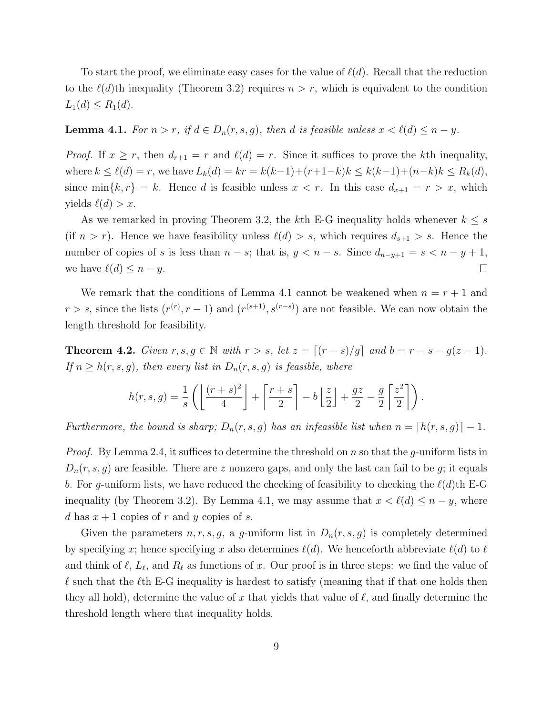To start the proof, we eliminate easy cases for the value of  $\ell(d)$ . Recall that the reduction to the  $\ell(d)$ th inequality (Theorem 3.2) requires  $n > r$ , which is equivalent to the condition  $L_1(d) \leq R_1(d)$ .

# Lemma 4.1. For  $n > r$ , if  $d \in D_n(r, s, g)$ , then d is feasible unless  $x < \ell(d) \leq n - y$ .

*Proof.* If  $x \ge r$ , then  $d_{r+1} = r$  and  $\ell(d) = r$ . Since it suffices to prove the kth inequality, where  $k \le \ell(d) = r$ , we have  $L_k(d) = kr = k(k-1)+(r+1-k)k \le k(k-1)+(n-k)k \le R_k(d)$ , since min $\{k,r\} = k$ . Hence d is feasible unless  $x < r$ . In this case  $d_{x+1} = r > x$ , which yields  $\ell(d) > x$ .

As we remarked in proving Theorem 3.2, the kth E-G inequality holds whenever  $k \leq s$ (if  $n > r$ ). Hence we have feasibility unless  $\ell(d) > s$ , which requires  $d_{s+1} > s$ . Hence the number of copies of s is less than  $n - s$ ; that is,  $y < n - s$ . Since  $d_{n-y+1} = s < n - y + 1$ , we have  $\ell(d) \leq n - y$ .  $\Box$ 

We remark that the conditions of Lemma 4.1 cannot be weakened when  $n = r + 1$  and  $r > s$ , since the lists  $(r^{(r)}, r - 1)$  and  $(r^{(s+1)}, s^{(r-s)})$  are not feasible. We can now obtain the length threshold for feasibility.

**Theorem 4.2.** Given  $r, s, g \in \mathbb{N}$  with  $r > s$ , let  $z = [(r - s)/g]$  and  $b = r - s - g(z - 1)$ . If  $n \geq h(r,s,g)$ , then every list in  $D_n(r,s,g)$  is feasible, where

$$
h(r,s,g) = \frac{1}{s} \left( \left\lfloor \frac{(r+s)^2}{4} \right\rfloor + \left\lceil \frac{r+s}{2} \right\rceil - b \left\lfloor \frac{z}{2} \right\rfloor + \frac{gz}{2} - \frac{g}{2} \left\lceil \frac{z^2}{2} \right\rceil \right).
$$

Furthermore, the bound is sharp;  $D_n(r,s,g)$  has an infeasible list when  $n = [h(r,s,g)] - 1$ .

*Proof.* By Lemma 2.4, it suffices to determine the threshold on n so that the g-uniform lists in  $D_n(r,s,g)$  are feasible. There are z nonzero gaps, and only the last can fail to be g; it equals b. For g-uniform lists, we have reduced the checking of feasibility to checking the  $\ell(d)$ th E-G inequality (by Theorem 3.2). By Lemma 4.1, we may assume that  $x < l(d) \leq n - y$ , where d has  $x + 1$  copies of r and y copies of s.

Given the parameters  $n, r, s, g$ , a g-uniform list in  $D_n(r, s, g)$  is completely determined by specifying x; hence specifying x also determines  $\ell(d)$ . We henceforth abbreviate  $\ell(d)$  to  $\ell$ and think of  $\ell$ ,  $L_{\ell}$ , and  $R_{\ell}$  as functions of x. Our proof is in three steps: we find the value of  $\ell$  such that the  $\ell$ th E-G inequality is hardest to satisfy (meaning that if that one holds then they all hold), determine the value of x that yields that value of  $\ell$ , and finally determine the threshold length where that inequality holds.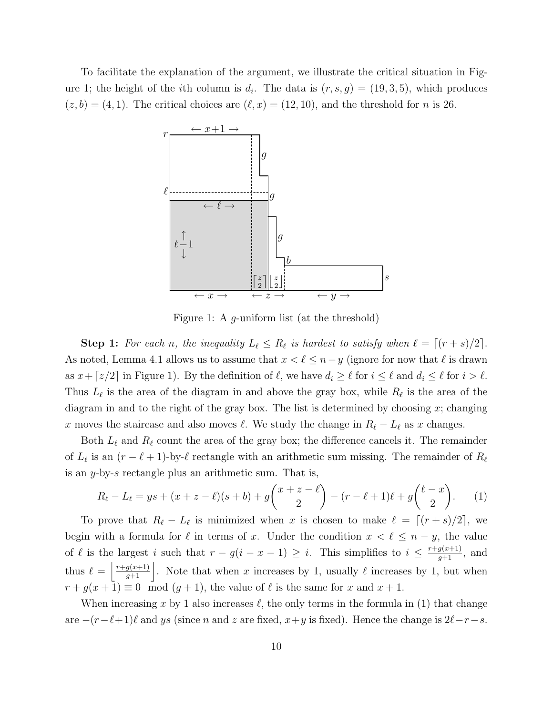To facilitate the explanation of the argument, we illustrate the critical situation in Figure 1; the height of the *i*th column is  $d_i$ . The data is  $(r, s, g) = (19, 3, 5)$ , which produces  $(z,b) = (4,1)$ . The critical choices are  $(\ell, x) = (12, 10)$ , and the threshold for *n* is 26.



Figure 1: A g-uniform list (at the threshold)

**Step 1:** For each n, the inequality  $L_{\ell} \leq R_{\ell}$  is hardest to satisfy when  $\ell = \lceil (r+s)/2 \rceil$ . As noted, Lemma 4.1 allows us to assume that  $x < \ell \leq n-y$  (ignore for now that  $\ell$  is drawn as  $x + \lceil z/2 \rceil$  in Figure 1). By the definition of  $\ell$ , we have  $d_i \geq \ell$  for  $i \leq \ell$  and  $d_i \leq \ell$  for  $i > \ell$ . Thus  $L_{\ell}$  is the area of the diagram in and above the gray box, while  $R_{\ell}$  is the area of the diagram in and to the right of the gray box. The list is determined by choosing  $x$ ; changing x moves the staircase and also moves  $\ell$ . We study the change in  $R_{\ell} - L_{\ell}$  as x changes.

Both  $L_{\ell}$  and  $R_{\ell}$  count the area of the gray box; the difference cancels it. The remainder of  $L_{\ell}$  is an  $(r - \ell + 1)$ -by- $\ell$  rectangle with an arithmetic sum missing. The remainder of  $R_{\ell}$ is an y-by-s rectangle plus an arithmetic sum. That is,

$$
R_{\ell} - L_{\ell} = ys + (x + z - \ell)(s + b) + g\binom{x + z - \ell}{2} - (r - \ell + 1)\ell + g\binom{\ell - x}{2}.
$$
 (1)

To prove that  $R_{\ell} - L_{\ell}$  is minimized when x is chosen to make  $\ell = \lceil (r+s)/2 \rceil$ , we begin with a formula for  $\ell$  in terms of x. Under the condition  $x < \ell \leq n - y$ , the value of  $\ell$  is the largest i such that  $r - g(i - x - 1) \geq i$ . This simplifies to  $i \leq \frac{r + g(x+1)}{g+1}$ , and thus  $\ell = \left\lfloor \frac{r+g(x+1)}{g+1} \right\rfloor$ . Note that when x increases by 1, usually  $\ell$  increases by 1, but when  $r + g(x + 1) \equiv 0 \mod (g + 1)$ , the value of  $\ell$  is the same for x and  $x + 1$ .

When increasing x by 1 also increases  $\ell$ , the only terms in the formula in (1) that change are  $-(r-\ell+1)\ell$  and ys (since n and z are fixed,  $x+y$  is fixed). Hence the change is  $2\ell-r-s$ .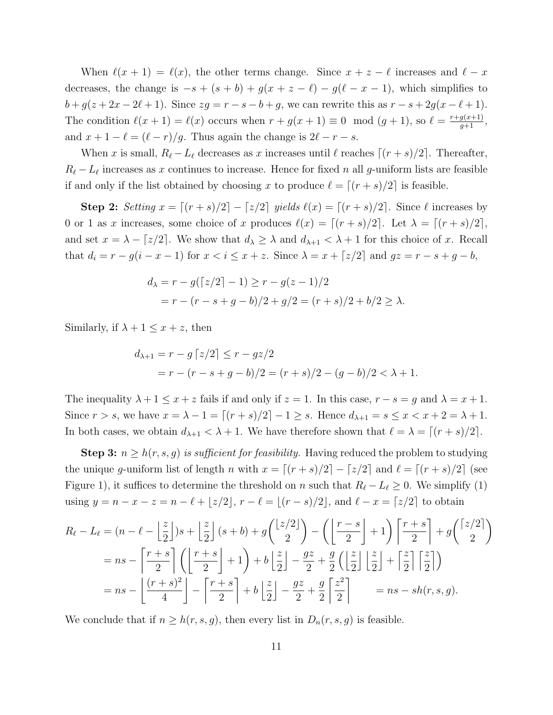When  $\ell(x+1) = \ell(x)$ , the other terms change. Since  $x + z - \ell$  increases and  $\ell - x$ decreases, the change is  $-s + (s + b) + g(x + z - \ell) - g(\ell - x - 1)$ , which simplifies to  $b+g(z+2x-2\ell+1)$ . Since  $zg=r-s-b+g$ , we can rewrite this as  $r-s+2g(x-\ell+1)$ . The condition  $\ell(x+1) = \ell(x)$  occurs when  $r + g(x+1) \equiv 0 \mod (g+1)$ , so  $\ell = \frac{r+g(x+1)}{g+1}$ , and  $x + 1 - \ell = (\ell - r)/g$ . Thus again the change is  $2\ell - r - s$ .

When x is small,  $R_{\ell} - L_{\ell}$  decreases as x increases until  $\ell$  reaches  $[(r + s)/2]$ . Thereafter,  $R_{\ell} - L_{\ell}$  increases as x continues to increase. Hence for fixed n all g-uniform lists are feasible if and only if the list obtained by choosing x to produce  $\ell = \lceil (r+s)/2 \rceil$  is feasible.

Step 2: Setting  $x = \lfloor (r+s)/2 \rfloor - \lfloor z/2 \rfloor$  yields  $\ell(x) = \lfloor (r+s)/2 \rfloor$ . Since  $\ell$  increases by 0 or 1 as x increases, some choice of x produces  $\ell(x) = \lceil (r+s)/2 \rceil$ . Let  $\lambda = \lceil (r+s)/2 \rceil$ , and set  $x = \lambda - \lfloor z/2 \rfloor$ . We show that  $d_{\lambda} \geq \lambda$  and  $d_{\lambda+1} < \lambda + 1$  for this choice of x. Recall that  $d_i = r - g(i - x - 1)$  for  $x < i \leq x + z$ . Since  $\lambda = x + \lceil z/2 \rceil$  and  $gz = r - s + g - b$ ,

$$
d_{\lambda} = r - g(\lceil z/2 \rceil - 1) \ge r - g(z - 1)/2
$$
  
=  $r - (r - s + g - b)/2 + g/2 = (r + s)/2 + b/2 \ge \lambda$ .

Similarly, if  $\lambda + 1 \leq x + z$ , then

$$
d_{\lambda+1} = r - g \left[ z/2 \right] \le r - gz/2
$$
  
=  $r - (r - s + g - b)/2 = (r + s)/2 - (g - b)/2 < \lambda + 1.$ 

The inequality  $\lambda + 1 \leq x + z$  fails if and only if  $z = 1$ . In this case,  $r - s = g$  and  $\lambda = x + 1$ . Since  $r > s$ , we have  $x = \lambda - 1 = [(r + s)/2] - 1 \ge s$ . Hence  $d_{\lambda+1} = s \le x < x + 2 = \lambda + 1$ . In both cases, we obtain  $d_{\lambda+1} < \lambda + 1$ . We have therefore shown that  $\ell = \lambda = \lceil (r+s)/2 \rceil$ .

**Step 3:**  $n \geq h(r,s,g)$  is sufficient for feasibility. Having reduced the problem to studying the unique g-uniform list of length n with  $x = \lfloor (r+s)/2 \rfloor - \lfloor z/2 \rfloor$  and  $\ell = \lfloor (r+s)/2 \rfloor$  (see Figure 1), it suffices to determine the threshold on n such that  $R_{\ell} - L_{\ell} \geq 0$ . We simplify (1) using  $y = n - x - z = n - \ell + \lfloor z/2 \rfloor$ ,  $r - \ell = \lfloor (r - s)/2 \rfloor$ , and  $\ell - x = \lceil z/2 \rceil$  to obtain

$$
R_{\ell} - L_{\ell} = (n - \ell - \left\lfloor \frac{z}{2} \right\rfloor)s + \left\lfloor \frac{z}{2} \right\rfloor(s+b) + g\left(\left\lfloor \frac{z/2}{2} \right\rfloor\right) - \left(\left\lfloor \frac{r-s}{2} \right\rfloor + 1\right)\left\lceil \frac{r+s}{2} \right\rceil + g\left(\left\lfloor \frac{z/2}{2} \right\rfloor\right)
$$
  
=  $ns - \left\lceil \frac{r+s}{2} \right\rceil \left(\left\lfloor \frac{r+s}{2} \right\rfloor + 1\right) + b\left\lfloor \frac{z}{2} \right\rfloor - \frac{gz}{2} + \frac{g}{2}\left(\left\lfloor \frac{z}{2} \right\rfloor \left\lfloor \frac{z}{2} \right\rfloor + \left\lceil \frac{z}{2} \right\rceil \left\lceil \frac{z}{2} \right\rceil\right)$   
=  $ns - \left\lfloor \frac{(r+s)^2}{4} \right\rfloor - \left\lceil \frac{r+s}{2} \right\rceil + b\left\lfloor \frac{z}{2} \right\rfloor - \frac{gz}{2} + \frac{g}{2}\left\lceil \frac{z^2}{2} \right\rceil$  =  $ns - sh(r, s, g)$ .

We conclude that if  $n \geq h(r,s,g)$ , then every list in  $D_n(r,s,g)$  is feasible.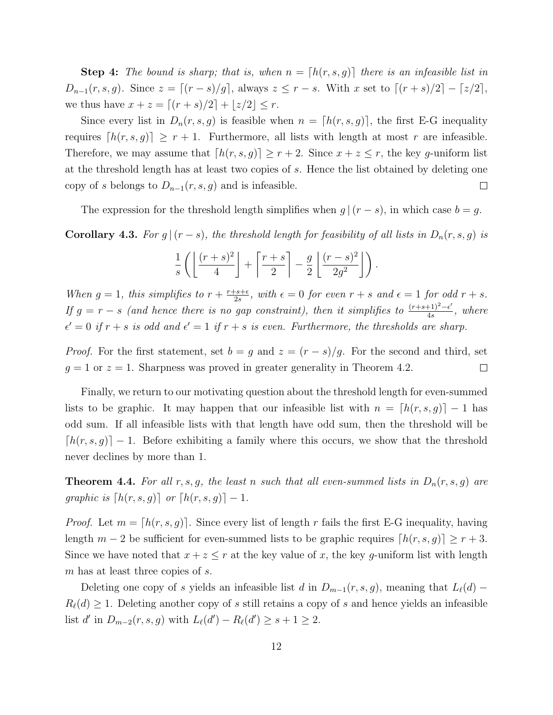**Step 4:** The bound is sharp; that is, when  $n = [h(r, s, g)]$  there is an infeasible list in  $D_{n-1}(r,s,g)$ . Since  $z = \lceil (r-s)/g \rceil$ , always  $z \leq r-s$ . With x set to  $\lceil (r+s)/2 \rceil - \lceil z/2 \rceil$ , we thus have  $x + z = [(r + s)/2] + \lfloor z/2 \rfloor \le r$ .

Since every list in  $D_n(r,s,g)$  is feasible when  $n = [h(r,s,g)]$ , the first E-G inequality requires  $[h(r,s,g)] \geq r+1$ . Furthermore, all lists with length at most r are infeasible. Therefore, we may assume that  $[h(r,s,g)] \geq r+2$ . Since  $x+z \leq r$ , the key g-uniform list at the threshold length has at least two copies of s. Hence the list obtained by deleting one copy of s belongs to  $D_{n-1}(r,s,g)$  and is infeasible.  $\Box$ 

The expression for the threshold length simplifies when  $g|(r-s)$ , in which case  $b = g$ .

**Corollary 4.3.** For  $g|(r-s)$ , the threshold length for feasibility of all lists in  $D_n(r,s,g)$  is

$$
\frac{1}{s}\left(\left\lfloor\frac{(r+s)^2}{4}\right\rfloor+\left\lceil\frac{r+s}{2}\right\rceil-\frac{g}{2}\left\lfloor\frac{(r-s)^2}{2g^2}\right\rfloor\right).
$$

When  $g = 1$ , this simplifies to  $r + \frac{r+s+\epsilon}{2s}$  $\frac{2s+\epsilon}{2s}$ , with  $\epsilon = 0$  for even  $r + s$  and  $\epsilon = 1$  for odd  $r + s$ . If  $g = r - s$  (and hence there is no gap constraint), then it simplifies to  $\frac{(r+s+1)^2-\epsilon'}{4s}$  $\frac{(+1)^2-\epsilon}{4s}$ , where  $\epsilon' = 0$  if  $r + s$  is odd and  $\epsilon' = 1$  if  $r + s$  is even. Furthermore, the thresholds are sharp.

*Proof.* For the first statement, set  $b = g$  and  $z = (r - s)/g$ . For the second and third, set  $q = 1$  or  $z = 1$ . Sharpness was proved in greater generality in Theorem 4.2.  $\Box$ 

Finally, we return to our motivating question about the threshold length for even-summed lists to be graphic. It may happen that our infeasible list with  $n = [h(r, s, g)] - 1$  has odd sum. If all infeasible lists with that length have odd sum, then the threshold will be  $\lfloor h(r,s,g) \rfloor - 1$ . Before exhibiting a family where this occurs, we show that the threshold never declines by more than 1.

**Theorem 4.4.** For all r, s, g, the least n such that all even-summed lists in  $D_n(r,s,g)$  are graphic is  $\lceil h(r,s,g) \rceil$  or  $\lceil h(r,s,g) \rceil - 1$ .

*Proof.* Let  $m = [h(r, s, g)]$ . Since every list of length r fails the first E-G inequality, having length  $m-2$  be sufficient for even-summed lists to be graphic requires  $\lfloor h(r,s,g) \rfloor \geq r+3$ . Since we have noted that  $x + z \leq r$  at the key value of x, the key g-uniform list with length m has at least three copies of s.

Deleting one copy of s yields an infeasible list d in  $D_{m-1}(r,s,g)$ , meaning that  $L_{\ell}(d)$  –  $R_{\ell}(d) \geq 1$ . Deleting another copy of s still retains a copy of s and hence yields an infeasible list d' in  $D_{m-2}(r, s, g)$  with  $L_{\ell}(d') - R_{\ell}(d') \geq s + 1 \geq 2$ .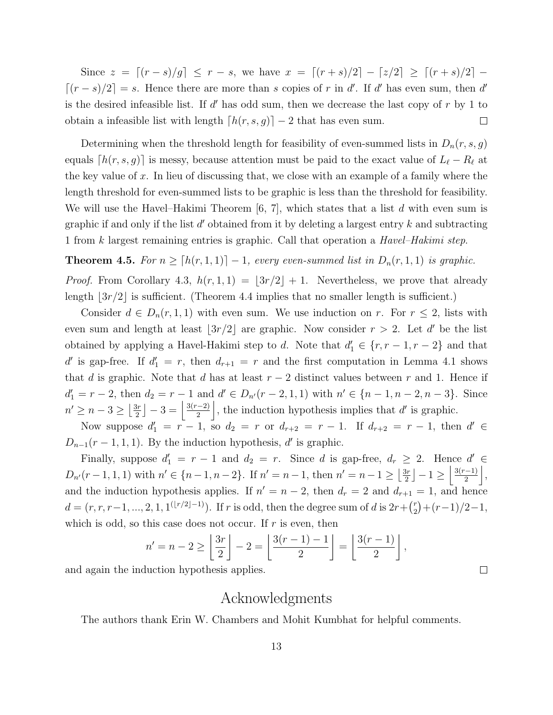Since  $z = \lfloor (r - s)/g \rfloor \le r - s$ , we have  $x = \lfloor (r + s)/2 \rfloor - \lfloor z/2 \rfloor \ge \lfloor (r + s)/2 \rfloor - \lfloor z/2 \rfloor$  $[(r - s)/2] = s$ . Hence there are more than s copies of r in d'. If d' has even sum, then d' is the desired infeasible list. If  $d'$  has odd sum, then we decrease the last copy of  $r$  by 1 to obtain a infeasible list with length  $[h(r,s,g)] - 2$  that has even sum.  $\Box$ 

Determining when the threshold length for feasibility of even-summed lists in  $D_n(r,s,g)$ equals  $[h(r,s,g)]$  is messy, because attention must be paid to the exact value of  $L_{\ell} - R_{\ell}$  at the key value of x. In lieu of discussing that, we close with an example of a family where the length threshold for even-summed lists to be graphic is less than the threshold for feasibility. We will use the Havel–Hakimi Theorem  $[6, 7]$ , which states that a list d with even sum is graphic if and only if the list  $d'$  obtained from it by deleting a largest entry  $k$  and subtracting 1 from k largest remaining entries is graphic. Call that operation a Havel–Hakimi step.

**Theorem 4.5.** For  $n \geq [h(r, 1, 1)] - 1$ , every even-summed list in  $D_n(r, 1, 1)$  is graphic.

*Proof.* From Corollary 4.3,  $h(r, 1, 1) = |3r/2| + 1$ . Nevertheless, we prove that already length  $\lfloor 3r/2 \rfloor$  is sufficient. (Theorem 4.4 implies that no smaller length is sufficient.)

Consider  $d \in D_n(r,1,1)$  with even sum. We use induction on r. For  $r \leq 2$ , lists with even sum and length at least  $\lfloor 3r/2 \rfloor$  are graphic. Now consider  $r > 2$ . Let d' be the list obtained by applying a Havel-Hakimi step to d. Note that  $d'_1 \in \{r, r-1, r-2\}$  and that d' is gap-free. If  $d_1' = r$ , then  $d_{r+1} = r$  and the first computation in Lemma 4.1 shows that d is graphic. Note that d has at least  $r-2$  distinct values between r and 1. Hence if  $d'_1 = r - 2$ , then  $d_2 = r - 1$  and  $d' \in D_{n'}(r - 2, 1, 1)$  with  $n' \in \{n - 1, n - 2, n - 3\}$ . Since  $n' \geq n-3 \geq \left\lfloor \frac{3r}{2} \right\rfloor$  $\frac{3r}{2}$ ] – 3 =  $\frac{3(r-2)}{2}$  $\frac{(-2)}{2}$ , the induction hypothesis implies that d' is graphic.

Now suppose  $d'_1 = r - 1$ , so  $d_2 = r$  or  $d_{r+2} = r - 1$ . If  $d_{r+2} = r - 1$ , then  $d' \in$  $D_{n-1}(r-1,1,1)$ . By the induction hypothesis, d' is graphic.

Finally, suppose  $d'_1 = r - 1$  and  $d_2 = r$ . Since d is gap-free,  $d_r \geq 2$ . Hence  $d' \in$  $D_{n'}(r-1,1,1)$  with  $n' \in \{n-1,n-2\}$ . If  $n'=n-1$ , then  $n'=n-1 \geq \left\lfloor \frac{3r}{2} \right\rfloor$  $\frac{3r}{2}$ ]  $-1 \geq \left\lfloor \frac{3(r-1)}{2} \right\rfloor$  $\frac{(-1)}{2}$ , and the induction hypothesis applies. If  $n' = n - 2$ , then  $d_r = 2$  and  $d_{r+1} = 1$ , and hence  $d = (r, r, r-1, ..., 2, 1, 1^{(\lfloor r/2 \rfloor - 1)})$ . If r is odd, then the degree sum of d is  $2r + {r \choose 2}$  $\binom{r}{2} + (r-1)/2 - 1$ , which is odd, so this case does not occur. If  $r$  is even, then

$$
n'=n-2\geq\left\lfloor\frac{3r}{2}\right\rfloor-2=\left\lfloor\frac{3(r-1)-1}{2}\right\rfloor=\left\lfloor\frac{3(r-1)}{2}\right\rfloor,
$$

and again the induction hypothesis applies.

### Acknowledgments

 $\Box$ 

The authors thank Erin W. Chambers and Mohit Kumbhat for helpful comments.